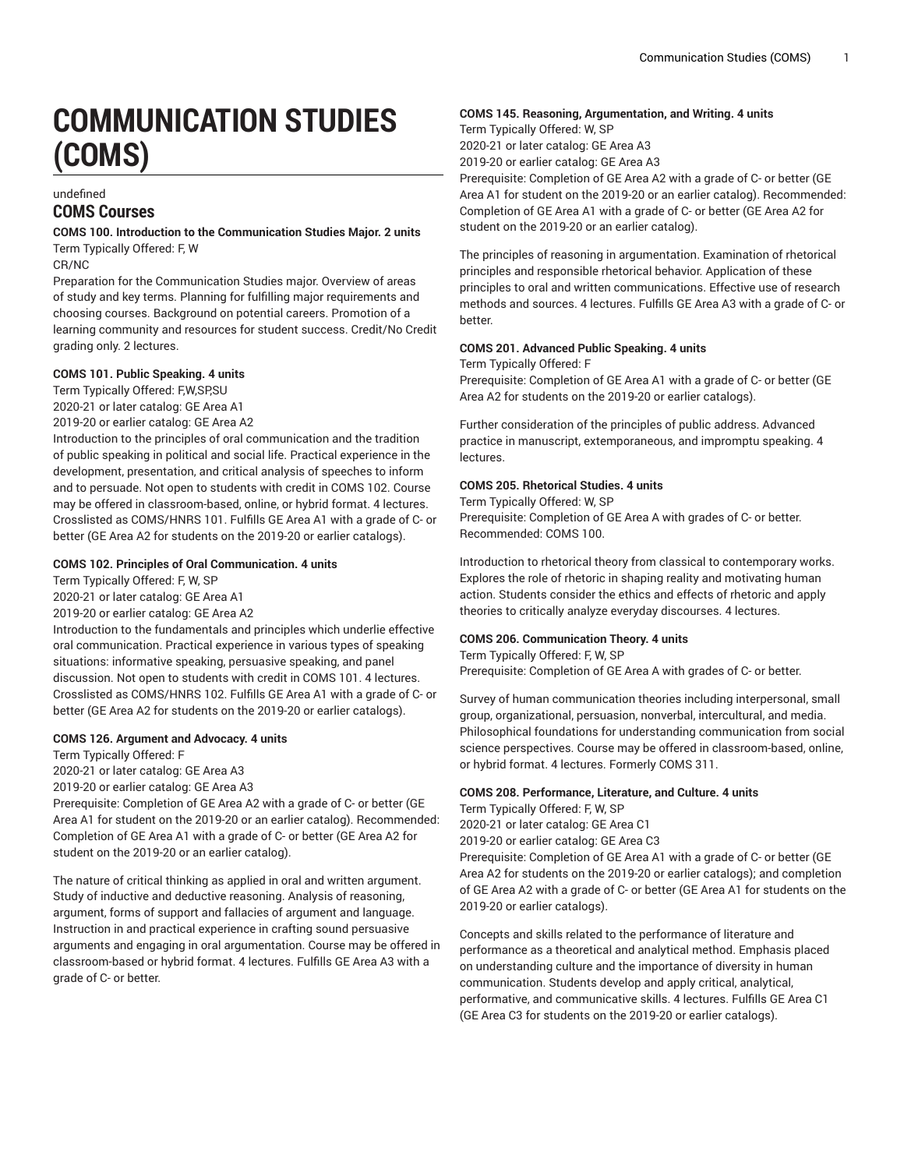# **COMMUNICATION STUDIES (COMS)**

## undefined **COMS Courses**

**COMS 100. Introduction to the Communication Studies Major. 2 units** Term Typically Offered: F, W

CR/NC

Preparation for the Communication Studies major. Overview of areas of study and key terms. Planning for fulfilling major requirements and choosing courses. Background on potential careers. Promotion of a learning community and resources for student success. Credit/No Credit grading only. 2 lectures.

## **COMS 101. Public Speaking. 4 units**

Term Typically Offered: F,W,SP,SU 2020-21 or later catalog: GE Area A1

2019-20 or earlier catalog: GE Area A2

Introduction to the principles of oral communication and the tradition of public speaking in political and social life. Practical experience in the development, presentation, and critical analysis of speeches to inform and to persuade. Not open to students with credit in COMS 102. Course may be offered in classroom-based, online, or hybrid format. 4 lectures. Crosslisted as COMS/HNRS 101. Fulfills GE Area A1 with a grade of C- or better (GE Area A2 for students on the 2019-20 or earlier catalogs).

## **COMS 102. Principles of Oral Communication. 4 units**

Term Typically Offered: F, W, SP 2020-21 or later catalog: GE Area A1 2019-20 or earlier catalog: GE Area A2 Introduction to the fundamentals and principles which underlie effective oral communication. Practical experience in various types of speaking situations: informative speaking, persuasive speaking, and panel discussion. Not open to students with credit in COMS 101. 4 lectures. Crosslisted as COMS/HNRS 102. Fulfills GE Area A1 with a grade of C- or better (GE Area A2 for students on the 2019-20 or earlier catalogs).

## **COMS 126. Argument and Advocacy. 4 units**

Term Typically Offered: F 2020-21 or later catalog: GE Area A3 2019-20 or earlier catalog: GE Area A3

Prerequisite: Completion of GE Area A2 with a grade of C- or better (GE Area A1 for student on the 2019-20 or an earlier catalog). Recommended: Completion of GE Area A1 with a grade of C- or better (GE Area A2 for student on the 2019-20 or an earlier catalog).

The nature of critical thinking as applied in oral and written argument. Study of inductive and deductive reasoning. Analysis of reasoning, argument, forms of support and fallacies of argument and language. Instruction in and practical experience in crafting sound persuasive arguments and engaging in oral argumentation. Course may be offered in classroom-based or hybrid format. 4 lectures. Fulfills GE Area A3 with a grade of C- or better.

## **COMS 145. Reasoning, Argumentation, and Writing. 4 units**

Term Typically Offered: W, SP 2020-21 or later catalog: GE Area A3 2019-20 or earlier catalog: GE Area A3

Prerequisite: Completion of GE Area A2 with a grade of C- or better (GE Area A1 for student on the 2019-20 or an earlier catalog). Recommended: Completion of GE Area A1 with a grade of C- or better (GE Area A2 for student on the 2019-20 or an earlier catalog).

The principles of reasoning in argumentation. Examination of rhetorical principles and responsible rhetorical behavior. Application of these principles to oral and written communications. Effective use of research methods and sources. 4 lectures. Fulfills GE Area A3 with a grade of C- or better.

## **COMS 201. Advanced Public Speaking. 4 units**

Term Typically Offered: F

Prerequisite: Completion of GE Area A1 with a grade of C- or better (GE Area A2 for students on the 2019-20 or earlier catalogs).

Further consideration of the principles of public address. Advanced practice in manuscript, extemporaneous, and impromptu speaking. 4 lectures.

## **COMS 205. Rhetorical Studies. 4 units**

Term Typically Offered: W, SP Prerequisite: Completion of GE Area A with grades of C- or better. Recommended: COMS 100.

Introduction to rhetorical theory from classical to contemporary works. Explores the role of rhetoric in shaping reality and motivating human action. Students consider the ethics and effects of rhetoric and apply theories to critically analyze everyday discourses. 4 lectures.

## **COMS 206. Communication Theory. 4 units**

Term Typically Offered: F, W, SP Prerequisite: Completion of GE Area A with grades of C- or better.

Survey of human communication theories including interpersonal, small group, organizational, persuasion, nonverbal, intercultural, and media. Philosophical foundations for understanding communication from social science perspectives. Course may be offered in classroom-based, online, or hybrid format. 4 lectures. Formerly COMS 311.

## **COMS 208. Performance, Literature, and Culture. 4 units**

Term Typically Offered: F, W, SP 2020-21 or later catalog: GE Area C1 2019-20 or earlier catalog: GE Area C3 Prerequisite: Completion of GE Area A1 with a grade of C- or better (GE Area A2 for students on the 2019-20 or earlier catalogs); and completion of GE Area A2 with a grade of C- or better (GE Area A1 for students on the 2019-20 or earlier catalogs).

Concepts and skills related to the performance of literature and performance as a theoretical and analytical method. Emphasis placed on understanding culture and the importance of diversity in human communication. Students develop and apply critical, analytical, performative, and communicative skills. 4 lectures. Fulfills GE Area C1 (GE Area C3 for students on the 2019-20 or earlier catalogs).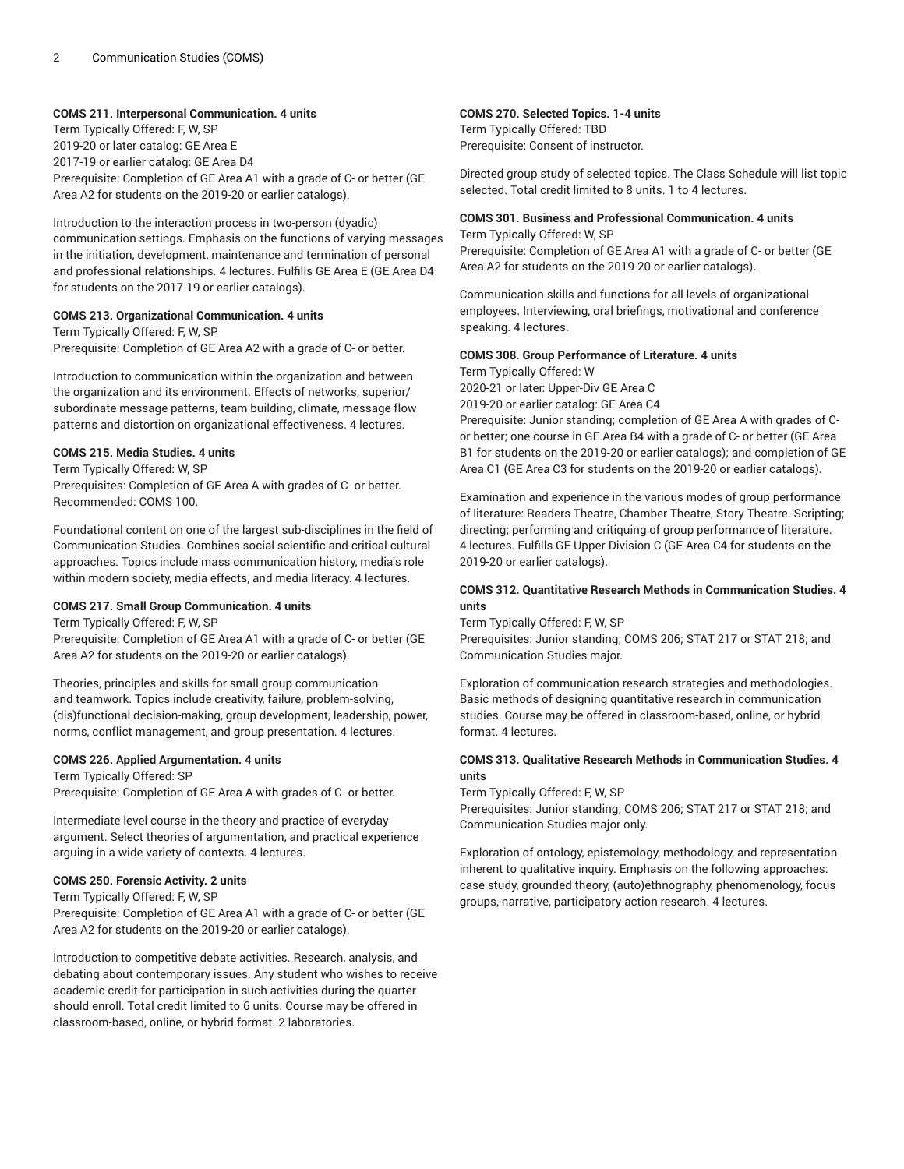## **COMS 211. Interpersonal Communication. 4 units**

Term Typically Offered: F, W, SP 2019-20 or later catalog: GE Area E 2017-19 or earlier catalog: GE Area D4 Prerequisite: Completion of GE Area A1 with a grade of C- or better (GE Area A2 for students on the 2019-20 or earlier catalogs).

Introduction to the interaction process in two-person (dyadic) communication settings. Emphasis on the functions of varying messages in the initiation, development, maintenance and termination of personal and professional relationships. 4 lectures. Fulfills GE Area E (GE Area D4 for students on the 2017-19 or earlier catalogs).

## **COMS 213. Organizational Communication. 4 units**

Term Typically Offered: F, W, SP Prerequisite: Completion of GE Area A2 with a grade of C- or better.

Introduction to communication within the organization and between the organization and its environment. Effects of networks, superior/ subordinate message patterns, team building, climate, message flow patterns and distortion on organizational effectiveness. 4 lectures.

## **COMS 215. Media Studies. 4 units**

Term Typically Offered: W, SP Prerequisites: Completion of GE Area A with grades of C- or better. Recommended: COMS 100.

Foundational content on one of the largest sub-disciplines in the field of Communication Studies. Combines social scientific and critical cultural approaches. Topics include mass communication history, media's role within modern society, media effects, and media literacy. 4 lectures.

## **COMS 217. Small Group Communication. 4 units**

Term Typically Offered: F, W, SP

Prerequisite: Completion of GE Area A1 with a grade of C- or better (GE Area A2 for students on the 2019-20 or earlier catalogs).

Theories, principles and skills for small group communication and teamwork. Topics include creativity, failure, problem-solving, (dis)functional decision-making, group development, leadership, power, norms, conflict management, and group presentation. 4 lectures.

#### **COMS 226. Applied Argumentation. 4 units**

Term Typically Offered: SP

Prerequisite: Completion of GE Area A with grades of C- or better.

Intermediate level course in the theory and practice of everyday argument. Select theories of argumentation, and practical experience arguing in a wide variety of contexts. 4 lectures.

## **COMS 250. Forensic Activity. 2 units**

Term Typically Offered: F, W, SP

Prerequisite: Completion of GE Area A1 with a grade of C- or better (GE Area A2 for students on the 2019-20 or earlier catalogs).

Introduction to competitive debate activities. Research, analysis, and debating about contemporary issues. Any student who wishes to receive academic credit for participation in such activities during the quarter should enroll. Total credit limited to 6 units. Course may be offered in classroom-based, online, or hybrid format. 2 laboratories.

## **COMS 270. Selected Topics. 1-4 units**

Term Typically Offered: TBD Prerequisite: Consent of instructor.

Directed group study of selected topics. The Class Schedule will list topic selected. Total credit limited to 8 units. 1 to 4 lectures.

#### **COMS 301. Business and Professional Communication. 4 units** Term Typically Offered: W, SP

Prerequisite: Completion of GE Area A1 with a grade of C- or better (GE Area A2 for students on the 2019-20 or earlier catalogs).

Communication skills and functions for all levels of organizational employees. Interviewing, oral briefings, motivational and conference speaking. 4 lectures.

## **COMS 308. Group Performance of Literature. 4 units**

Term Typically Offered: W 2020-21 or later: Upper-Div GE Area C 2019-20 or earlier catalog: GE Area C4 Prerequisite: Junior standing; completion of GE Area A with grades of Cor better; one course in GE Area B4 with a grade of C- or better (GE Area

B1 for students on the 2019-20 or earlier catalogs); and completion of GE Area C1 (GE Area C3 for students on the 2019-20 or earlier catalogs).

Examination and experience in the various modes of group performance of literature: Readers Theatre, Chamber Theatre, Story Theatre. Scripting; directing; performing and critiquing of group performance of literature. 4 lectures. Fulfills GE Upper-Division C (GE Area C4 for students on the 2019-20 or earlier catalogs).

## **COMS 312. Quantitative Research Methods in Communication Studies. 4 units**

Term Typically Offered: F, W, SP Prerequisites: Junior standing; COMS 206; STAT 217 or STAT 218; and Communication Studies major.

Exploration of communication research strategies and methodologies. Basic methods of designing quantitative research in communication studies. Course may be offered in classroom-based, online, or hybrid format. 4 lectures.

## **COMS 313. Qualitative Research Methods in Communication Studies. 4 units**

Term Typically Offered: F, W, SP

Prerequisites: Junior standing; COMS 206; STAT 217 or STAT 218; and Communication Studies major only.

Exploration of ontology, epistemology, methodology, and representation inherent to qualitative inquiry. Emphasis on the following approaches: case study, grounded theory, (auto)ethnography, phenomenology, focus groups, narrative, participatory action research. 4 lectures.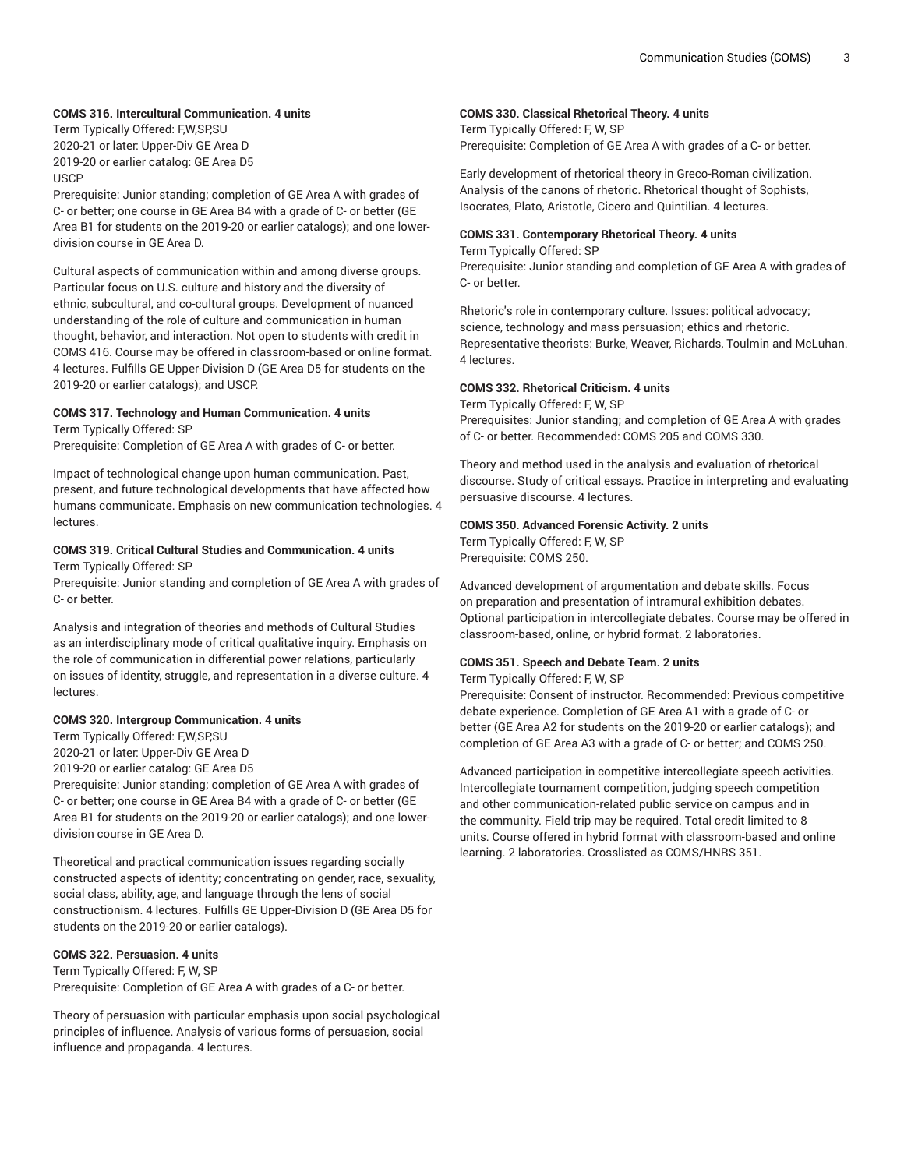## **COMS 316. Intercultural Communication. 4 units**

Term Typically Offered: F,W,SP,SU 2020-21 or later: Upper-Div GE Area D 2019-20 or earlier catalog: GE Area D5 **USCP** 

Prerequisite: Junior standing; completion of GE Area A with grades of C- or better; one course in GE Area B4 with a grade of C- or better (GE Area B1 for students on the 2019-20 or earlier catalogs); and one lowerdivision course in GE Area D.

Cultural aspects of communication within and among diverse groups. Particular focus on U.S. culture and history and the diversity of ethnic, subcultural, and co-cultural groups. Development of nuanced understanding of the role of culture and communication in human thought, behavior, and interaction. Not open to students with credit in COMS 416. Course may be offered in classroom-based or online format. 4 lectures. Fulfills GE Upper-Division D (GE Area D5 for students on the 2019-20 or earlier catalogs); and USCP.

## **COMS 317. Technology and Human Communication. 4 units** Term Typically Offered: SP

Prerequisite: Completion of GE Area A with grades of C- or better.

Impact of technological change upon human communication. Past, present, and future technological developments that have affected how humans communicate. Emphasis on new communication technologies. 4 lectures.

## **COMS 319. Critical Cultural Studies and Communication. 4 units**

Term Typically Offered: SP

Prerequisite: Junior standing and completion of GE Area A with grades of C- or better.

Analysis and integration of theories and methods of Cultural Studies as an interdisciplinary mode of critical qualitative inquiry. Emphasis on the role of communication in differential power relations, particularly on issues of identity, struggle, and representation in a diverse culture. 4 lectures.

## **COMS 320. Intergroup Communication. 4 units**

Term Typically Offered: F,W,SP,SU 2020-21 or later: Upper-Div GE Area D

2019-20 or earlier catalog: GE Area D5

Prerequisite: Junior standing; completion of GE Area A with grades of C- or better; one course in GE Area B4 with a grade of C- or better (GE Area B1 for students on the 2019-20 or earlier catalogs); and one lowerdivision course in GE Area D.

Theoretical and practical communication issues regarding socially constructed aspects of identity; concentrating on gender, race, sexuality, social class, ability, age, and language through the lens of social constructionism. 4 lectures. Fulfills GE Upper-Division D (GE Area D5 for students on the 2019-20 or earlier catalogs).

## **COMS 322. Persuasion. 4 units**

Term Typically Offered: F, W, SP Prerequisite: Completion of GE Area A with grades of a C- or better.

Theory of persuasion with particular emphasis upon social psychological principles of influence. Analysis of various forms of persuasion, social influence and propaganda. 4 lectures.

## **COMS 330. Classical Rhetorical Theory. 4 units**

Term Typically Offered: F, W, SP Prerequisite: Completion of GE Area A with grades of a C- or better.

Early development of rhetorical theory in Greco-Roman civilization. Analysis of the canons of rhetoric. Rhetorical thought of Sophists, Isocrates, Plato, Aristotle, Cicero and Quintilian. 4 lectures.

## **COMS 331. Contemporary Rhetorical Theory. 4 units**

Term Typically Offered: SP

Prerequisite: Junior standing and completion of GE Area A with grades of C- or better.

Rhetoric's role in contemporary culture. Issues: political advocacy; science, technology and mass persuasion; ethics and rhetoric. Representative theorists: Burke, Weaver, Richards, Toulmin and McLuhan. 4 lectures.

#### **COMS 332. Rhetorical Criticism. 4 units**

Term Typically Offered: F, W, SP

Prerequisites: Junior standing; and completion of GE Area A with grades of C- or better. Recommended: COMS 205 and COMS 330.

Theory and method used in the analysis and evaluation of rhetorical discourse. Study of critical essays. Practice in interpreting and evaluating persuasive discourse. 4 lectures.

#### **COMS 350. Advanced Forensic Activity. 2 units**

Term Typically Offered: F, W, SP Prerequisite: COMS 250.

Advanced development of argumentation and debate skills. Focus on preparation and presentation of intramural exhibition debates. Optional participation in intercollegiate debates. Course may be offered in classroom-based, online, or hybrid format. 2 laboratories.

#### **COMS 351. Speech and Debate Team. 2 units**

Term Typically Offered: F, W, SP

Prerequisite: Consent of instructor. Recommended: Previous competitive debate experience. Completion of GE Area A1 with a grade of C- or better (GE Area A2 for students on the 2019-20 or earlier catalogs); and completion of GE Area A3 with a grade of C- or better; and COMS 250.

Advanced participation in competitive intercollegiate speech activities. Intercollegiate tournament competition, judging speech competition and other communication-related public service on campus and in the community. Field trip may be required. Total credit limited to 8 units. Course offered in hybrid format with classroom-based and online learning. 2 laboratories. Crosslisted as COMS/HNRS 351.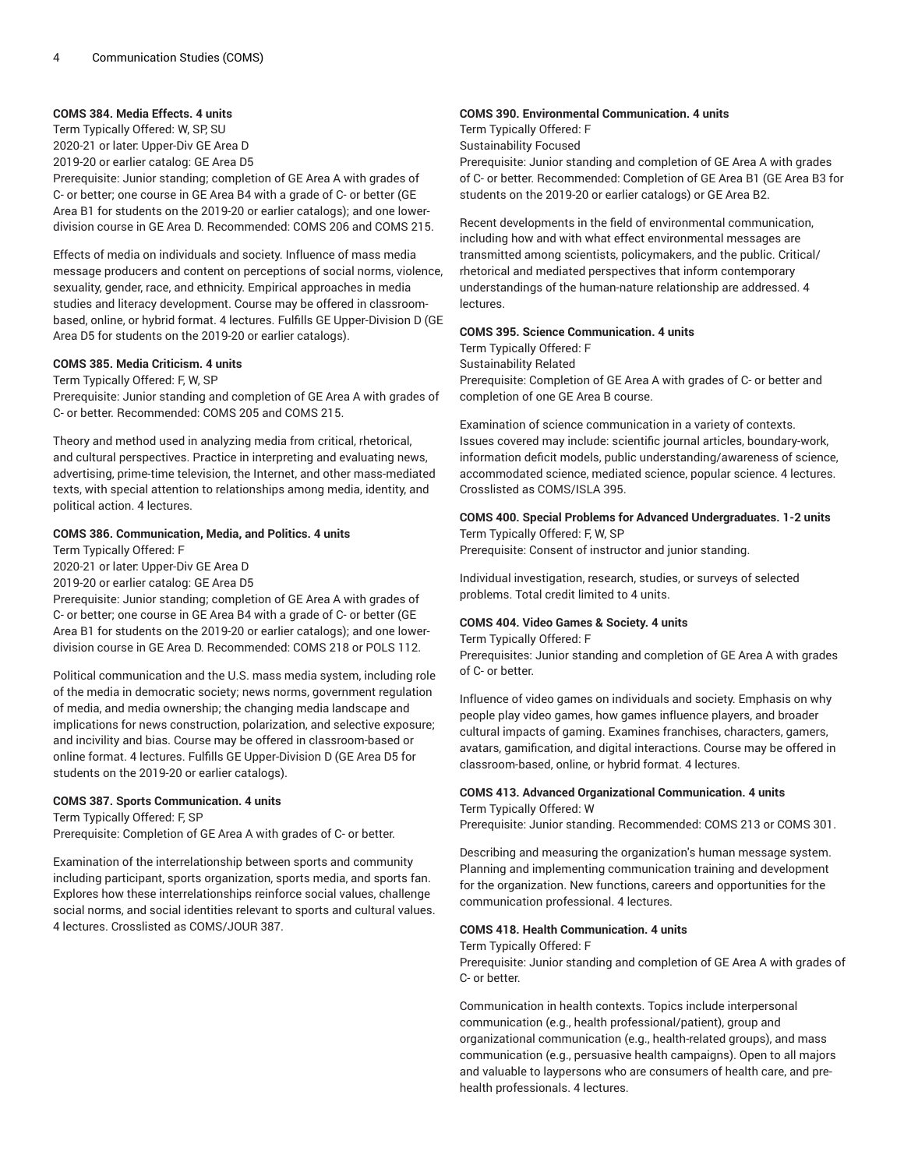## **COMS 384. Media Effects. 4 units**

Term Typically Offered: W, SP, SU 2020-21 or later: Upper-Div GE Area D

2019-20 or earlier catalog: GE Area D5

Prerequisite: Junior standing; completion of GE Area A with grades of C- or better; one course in GE Area B4 with a grade of C- or better (GE Area B1 for students on the 2019-20 or earlier catalogs); and one lowerdivision course in GE Area D. Recommended: COMS 206 and COMS 215.

Effects of media on individuals and society. Influence of mass media message producers and content on perceptions of social norms, violence, sexuality, gender, race, and ethnicity. Empirical approaches in media studies and literacy development. Course may be offered in classroombased, online, or hybrid format. 4 lectures. Fulfills GE Upper-Division D (GE Area D5 for students on the 2019-20 or earlier catalogs).

## **COMS 385. Media Criticism. 4 units**

Term Typically Offered: F, W, SP

Prerequisite: Junior standing and completion of GE Area A with grades of C- or better. Recommended: COMS 205 and COMS 215.

Theory and method used in analyzing media from critical, rhetorical, and cultural perspectives. Practice in interpreting and evaluating news, advertising, prime-time television, the Internet, and other mass-mediated texts, with special attention to relationships among media, identity, and political action. 4 lectures.

## **COMS 386. Communication, Media, and Politics. 4 units**

Term Typically Offered: F

2020-21 or later: Upper-Div GE Area D

2019-20 or earlier catalog: GE Area D5

Prerequisite: Junior standing; completion of GE Area A with grades of C- or better; one course in GE Area B4 with a grade of C- or better (GE Area B1 for students on the 2019-20 or earlier catalogs); and one lowerdivision course in GE Area D. Recommended: COMS 218 or POLS 112.

Political communication and the U.S. mass media system, including role of the media in democratic society; news norms, government regulation of media, and media ownership; the changing media landscape and implications for news construction, polarization, and selective exposure; and incivility and bias. Course may be offered in classroom-based or online format. 4 lectures. Fulfills GE Upper-Division D (GE Area D5 for students on the 2019-20 or earlier catalogs).

## **COMS 387. Sports Communication. 4 units**

Term Typically Offered: F, SP

Prerequisite: Completion of GE Area A with grades of C- or better.

Examination of the interrelationship between sports and community including participant, sports organization, sports media, and sports fan. Explores how these interrelationships reinforce social values, challenge social norms, and social identities relevant to sports and cultural values. 4 lectures. Crosslisted as COMS/JOUR 387.

## **COMS 390. Environmental Communication. 4 units**

Term Typically Offered: F Sustainability Focused

Prerequisite: Junior standing and completion of GE Area A with grades of C- or better. Recommended: Completion of GE Area B1 (GE Area B3 for students on the 2019-20 or earlier catalogs) or GE Area B2.

Recent developments in the field of environmental communication, including how and with what effect environmental messages are transmitted among scientists, policymakers, and the public. Critical/ rhetorical and mediated perspectives that inform contemporary understandings of the human-nature relationship are addressed. 4 lectures.

#### **COMS 395. Science Communication. 4 units**

Term Typically Offered: F Sustainability Related Prerequisite: Completion of GE Area A with grades of C- or better and completion of one GE Area B course.

Examination of science communication in a variety of contexts. Issues covered may include: scientific journal articles, boundary-work, information deficit models, public understanding/awareness of science, accommodated science, mediated science, popular science. 4 lectures. Crosslisted as COMS/ISLA 395.

#### **COMS 400. Special Problems for Advanced Undergraduates. 1-2 units** Term Typically Offered: F, W, SP

Prerequisite: Consent of instructor and junior standing.

Individual investigation, research, studies, or surveys of selected problems. Total credit limited to 4 units.

## **COMS 404. Video Games & Society. 4 units**

#### Term Typically Offered: F

Prerequisites: Junior standing and completion of GE Area A with grades of C- or better.

Influence of video games on individuals and society. Emphasis on why people play video games, how games influence players, and broader cultural impacts of gaming. Examines franchises, characters, gamers, avatars, gamification, and digital interactions. Course may be offered in classroom-based, online, or hybrid format. 4 lectures.

#### **COMS 413. Advanced Organizational Communication. 4 units** Term Typically Offered: W

Prerequisite: Junior standing. Recommended: COMS 213 or COMS 301.

Describing and measuring the organization's human message system. Planning and implementing communication training and development for the organization. New functions, careers and opportunities for the communication professional. 4 lectures.

## **COMS 418. Health Communication. 4 units**

#### Term Typically Offered: F

Prerequisite: Junior standing and completion of GE Area A with grades of C- or better.

Communication in health contexts. Topics include interpersonal communication (e.g., health professional/patient), group and organizational communication (e.g., health-related groups), and mass communication (e.g., persuasive health campaigns). Open to all majors and valuable to laypersons who are consumers of health care, and prehealth professionals. 4 lectures.